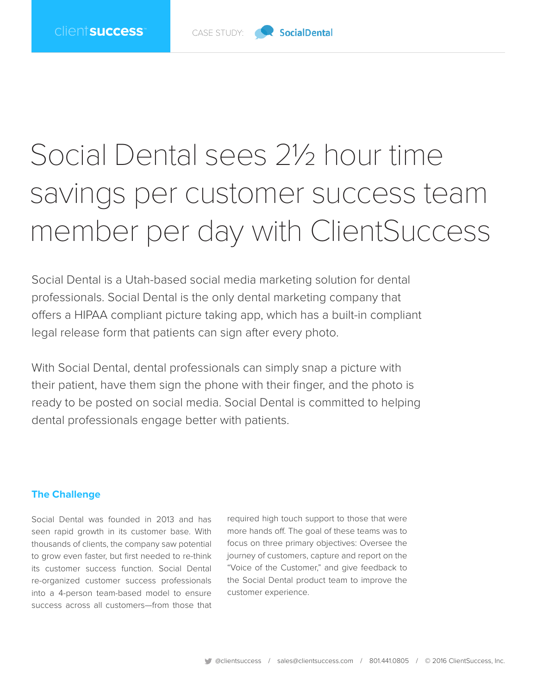

## Social Dental sees 2½ hour time savings per customer success team member per day with ClientSuccess

Social Dental is a Utah-based social media marketing solution for dental professionals. Social Dental is the only dental marketing company that offers a HIPAA compliant picture taking app, which has a built-in compliant legal release form that patients can sign after every photo.

With Social Dental, dental professionals can simply snap a picture with their patient, have them sign the phone with their finger, and the photo is ready to be posted on social media. Social Dental is committed to helping dental professionals engage better with patients.

## **The Challenge**

Social Dental was founded in 2013 and has seen rapid growth in its customer base. With thousands of clients, the company saw potential to grow even faster, but first needed to re-think its customer success function. Social Dental re-organized customer success professionals into a 4-person team-based model to ensure success across all customers—from those that

required high touch support to those that were more hands off. The goal of these teams was to focus on three primary objectives: Oversee the journey of customers, capture and report on the "Voice of the Customer," and give feedback to the Social Dental product team to improve the customer experience.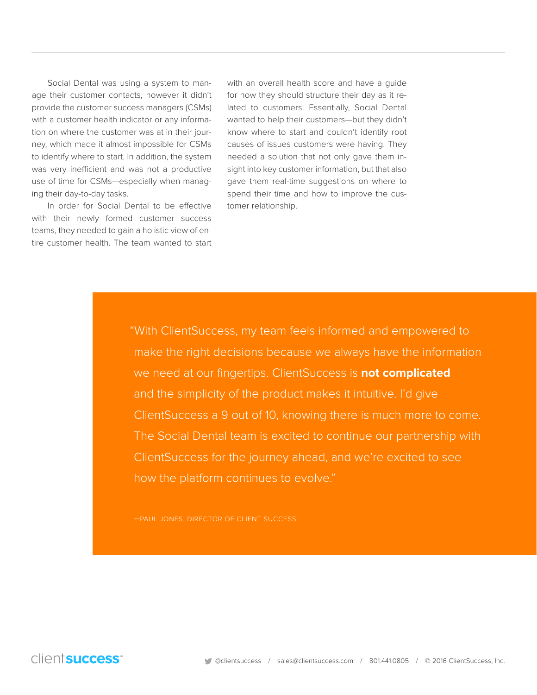Social Dental was using a system to manage their customer contacts, however it didn't provide the customer success managers (CSMs) with a customer health indicator or any information on where the customer was at in their journey, which made it almost impossible for CSMs to identify where to start. In addition, the system was very inefficient and was not a productive use of time for CSMs—especially when managing their day-to-day tasks.

In order for Social Dental to be effective with their newly formed customer success teams, they needed to gain a holistic view of entire customer health. The team wanted to start

with an overall health score and have a guide for how they should structure their day as it related to customers. Essentially, Social Dental wanted to help their customers—but they didn't know where to start and couldn't identify root causes of issues customers were having. They needed a solution that not only gave them insight into key customer information, but that also gave them real-time suggestions on where to spend their time and how to improve the customer relationship.

"With ClientSuccess, my team feels informed and empowered to make the right decisions because we always have the information we need at our fingertips. ClientSuccess is **not complicated** and the simplicity of the product makes it intuitive. I'd give ClientSuccess a 9 out of 10, knowing there is much more to come. The Social Dental team is excited to continue our partnership with ClientSuccess for the journey ahead, and we're excited to see how the platform continues to evolve."

—PAUL JONES, DIRECTOR OF CLIENT SUCCESS

clientsuccess<sup>®</sup>